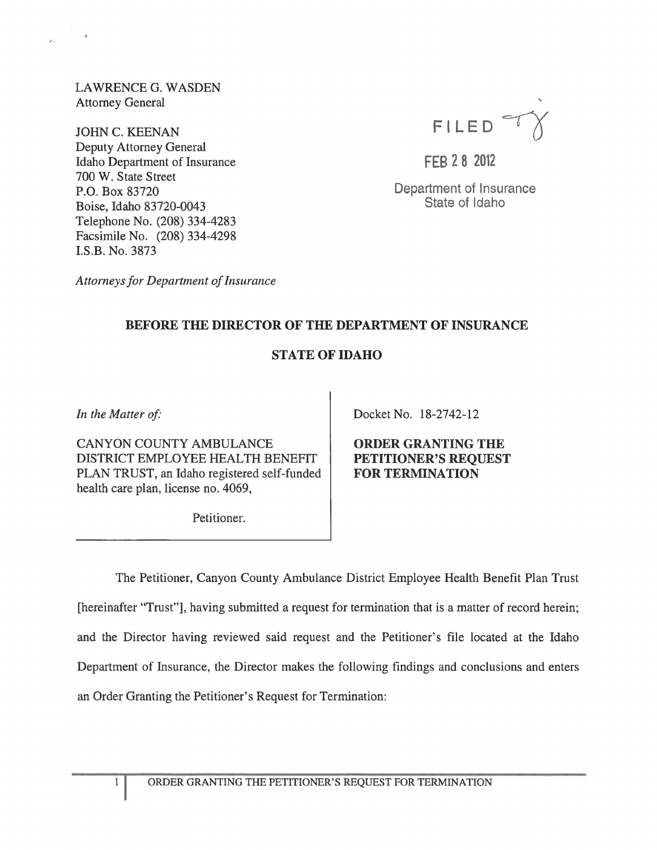LAWRENCE G. WASDEN Attorney General

JOHN C. KEENAN Deputy Attorney General Idaho Department of Insurance 700 W. State Street P.O. Box 83720 Boise, Idaho 83720-0043 Telephone No. (208) 334-4283 Facsimile No. (208) 334-4298 I.S.B. No. 3873

FILED<sup></sup>

FEB 28 2012

Department of Insurance State of Idaho

*Attorneys for Department of Insurance* 

## BEFORE THE DIRECTOR OF THE DEPARTMENT OF INSURANCE

## STATE OF IDAHO

In the Matter of:

CANYON COUNTY AMBULANCE DISTRICT EMPLOYEE HEALTH BENEFIT PLAN TRUST, an Idaho registered self-funded health care plan, license no. 4069,

Petitioner.

Docket No. 18-2742-12

ORDER GRANTING THE PETITIONER'S REQUEST FOR TERMINATION

The Petitioner, Canyon County Ambulance District Employee Health Benefit Plan Trust [hereinafter "Trust"], having submitted a request for termination that is a matter of record herein; and the Director having reviewed said request and the Petitioner's file located at the Idaho Department of Insurance, the Director makes the following findings and conclusions and enters an Order Granting the Petitioner's Request for Termination:

1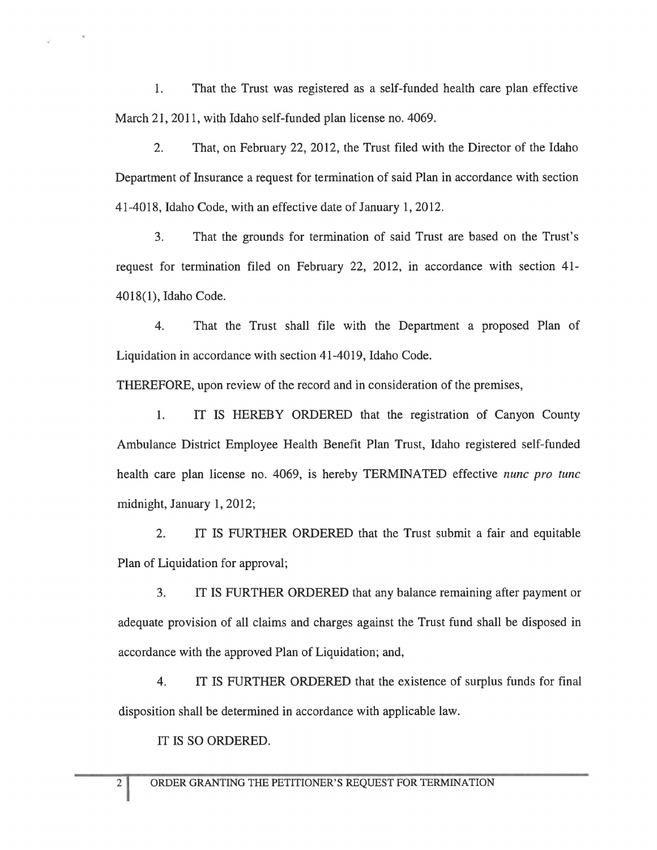1. That the Trust was registered as a self-funded health care plan effective March 21, 2011, with Idaho self-funded plan license no. 4069.

2. That, on February 22, 2012, the Trust filed with the Director of the Idaho Department of Insurance a request for termination of said Plan in accordance with section 41-4018, Idaho Code, with an effective date of January 1,2012.

3. That the grounds for termination of said Trust are based on the Trust's request for termination filed on February 22, 2012, in accordance with section 41- 4018(1), Idaho Code.

4. That the Trust shall file with the Department a proposed Plan of Liquidation in accordance with section 41-4019, Idaho Code.

THEREFORE, upon review of the record and in consideration of the premises,

1. IT IS HEREBY ORDERED that the registration of Canyon County Ambulance District Employee Health Benefit Plan Trust, Idaho registered self-funded health care plan license no. 4069, is hereby TERMINATED effective *nunc pro tunc*  midnight, January 1, 2012;

2. IT IS FURTHER ORDERED that the Trust submit a fair and equitable Plan of Liquidation for approval;

3. IT IS FURTHER ORDERED that any balance remaining after payment or adequate provision of all claims and charges against the Trust fund shall be disposed in accordance with the approved Plan of Liquidation; and,

4. IT IS FURTHER ORDERED that the existence of surplus funds for final disposition shall be determined in accordance with applicable law.

IT IS SO ORDERED.